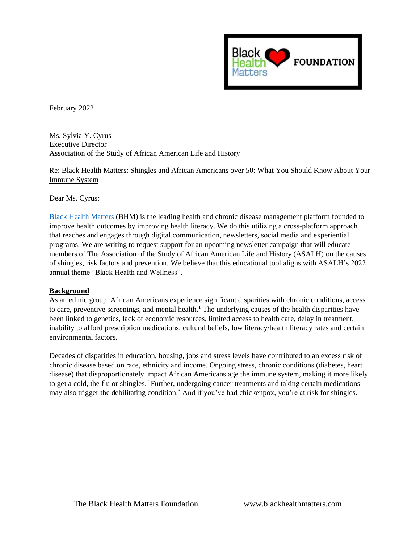

February 2022

Ms. Sylvia Y. Cyrus Executive Director Association of the Study of African American Life and History

Re: Black Health Matters: Shingles and African Americans over 50: What You Should Know About Your Immune System

Dear Ms. Cyrus:

[Black Health Matters](http://www.blackhealthmatters.com/) (BHM) is the leading health and chronic disease management platform founded to improve health outcomes by improving health literacy. We do this utilizing a cross-platform approach that reaches and engages through digital communication, newsletters, social media and experiential programs. We are writing to request support for an upcoming newsletter campaign that will educate members of The Association of the Study of African American Life and History (ASALH) on the causes of shingles, risk factors and prevention. We believe that this educational tool aligns with ASALH's 2022 annual theme "Black Health and Wellness".

## **Background**

As an ethnic group, African Americans experience significant disparities with chronic conditions, access to care, preventive screenings, and mental health.<sup>1</sup> The underlying causes of the health disparities have been linked to genetics, lack of economic resources, limited access to health care, delay in treatment, inability to afford prescription medications, cultural beliefs, low literacy/health literacy rates and certain environmental factors.

Decades of disparities in education, housing, jobs and stress levels have contributed to an excess risk of chronic disease based on race, ethnicity and income. Ongoing stress, chronic conditions (diabetes, heart disease) that disproportionately impact African Americans age the immune system, making it more likely to get a cold, the flu or shingles. <sup>2</sup> Further, undergoing cancer treatments and taking certain medications may also trigger the debilitating condition.<sup>3</sup> And if you've had chickenpox, you're at risk for shingles.